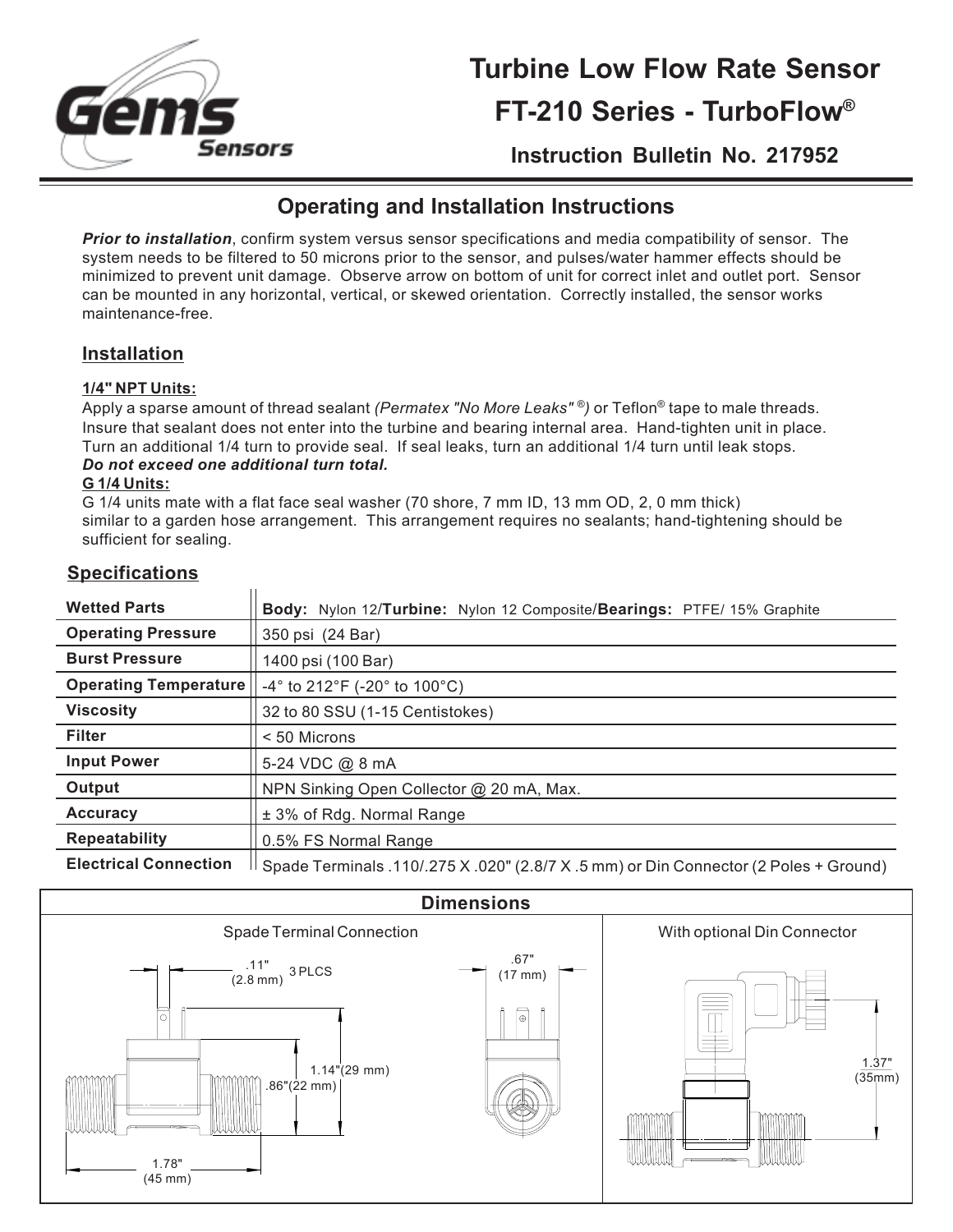

# **Turbine Low Flow Rate Sensor FT-210 Series - TurboFlow®**

**Instruction Bulletin No. 217952**

## **Operating and Installation Instructions**

*Prior to installation*, confirm system versus sensor specifications and media compatibility of sensor. The system needs to be filtered to 50 microns prior to the sensor, and pulses/water hammer effects should be minimized to prevent unit damage. Observe arrow on bottom of unit for correct inlet and outlet port. Sensor can be mounted in any horizontal, vertical, or skewed orientation. Correctly installed, the sensor works maintenance-free.

## **Installation**

#### **1/4" NPT Units:**

Apply a sparse amount of thread sealant *(Permatex "No More Leaks" ®)* or Teflon® tape to male threads. Insure that sealant does not enter into the turbine and bearing internal area. Hand-tighten unit in place. Turn an additional 1/4 turn to provide seal. If seal leaks, turn an additional 1/4 turn until leak stops. *Do not exceed one additional turn total.*

#### **G 1/4 Units:**

G 1/4 units mate with a flat face seal washer (70 shore, 7 mm ID, 13 mm OD, 2, 0 mm thick) similar to a garden hose arrangement. This arrangement requires no sealants; hand-tightening should be sufficient for sealing.

| <b>Wetted Parts</b>          | Body: Nylon 12/Turbine: Nylon 12 Composite/Bearings: PTFE/ 15% Graphite               |  |  |  |  |
|------------------------------|---------------------------------------------------------------------------------------|--|--|--|--|
| <b>Operating Pressure</b>    | 350 psi (24 Bar)                                                                      |  |  |  |  |
| <b>Burst Pressure</b>        | 1400 psi (100 Bar)                                                                    |  |  |  |  |
| <b>Operating Temperature</b> | $-4^{\circ}$ to 212 $^{\circ}$ F ( $-20^{\circ}$ to 100 $^{\circ}$ C)                 |  |  |  |  |
| <b>Viscosity</b>             | 32 to 80 SSU (1-15 Centistokes)                                                       |  |  |  |  |
| <b>Filter</b>                | < 50 Microns                                                                          |  |  |  |  |
| <b>Input Power</b>           | 5-24 VDC @ 8 mA                                                                       |  |  |  |  |
| Output                       | NPN Sinking Open Collector @ 20 mA, Max.                                              |  |  |  |  |
| <b>Accuracy</b>              | ± 3% of Rdg. Normal Range                                                             |  |  |  |  |
| <b>Repeatability</b>         | 0.5% FS Normal Range                                                                  |  |  |  |  |
| <b>Electrical Connection</b> | Spade Terminals .110/.275 X .020" (2.8/7 X .5 mm) or Din Connector (2 Poles + Ground) |  |  |  |  |

## **Specifications**